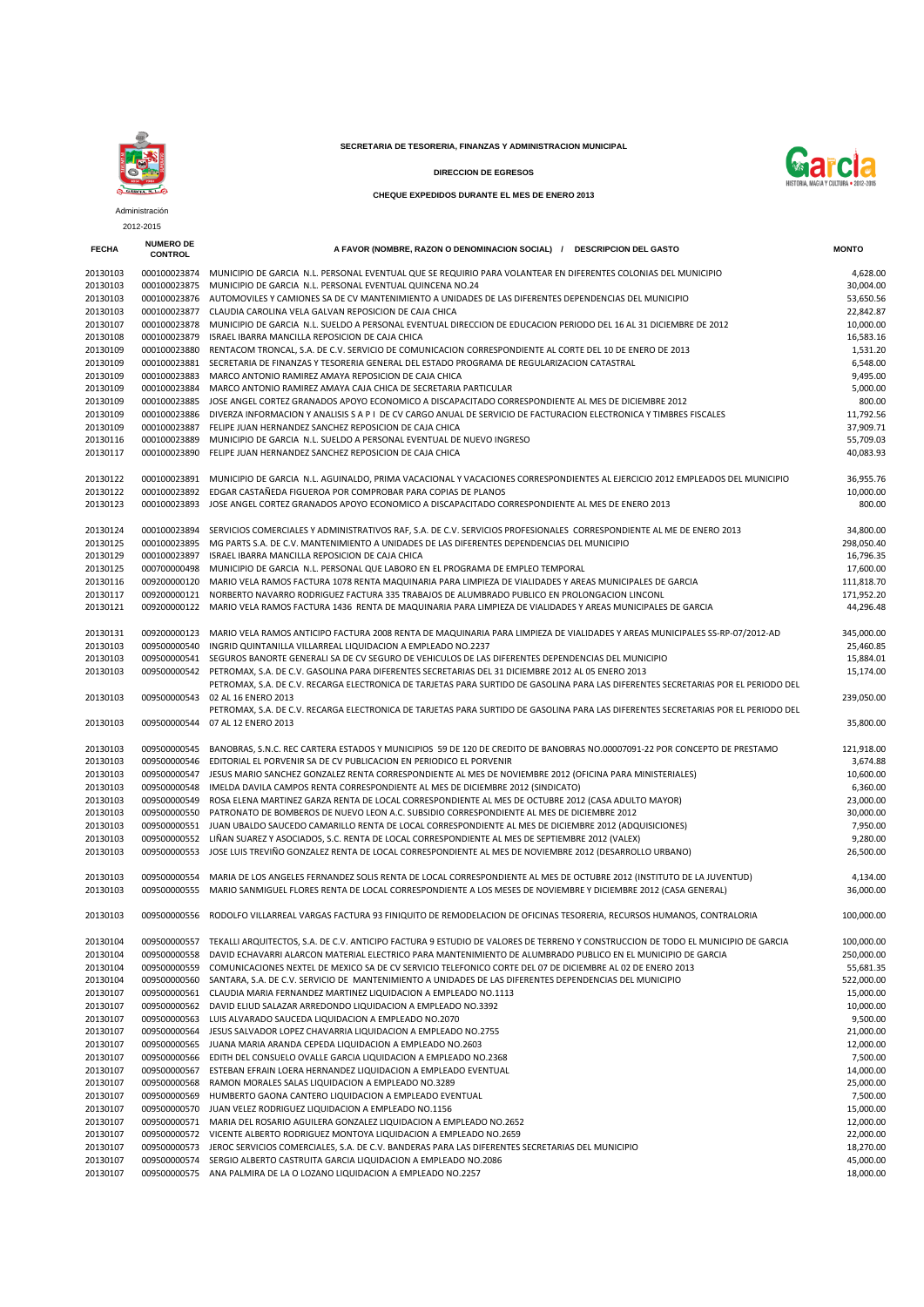

## **SECRETARIA DE TESORERIA, FINANZAS Y ADMINISTRACION MUNICIPAL**





**CHEQUE EXPEDIDOS DURANTE EL MES DE ENERO 2013**

|              | Administración                     |                                                                                                                                           |                       |
|--------------|------------------------------------|-------------------------------------------------------------------------------------------------------------------------------------------|-----------------------|
|              | 2012-2015                          |                                                                                                                                           |                       |
| <b>FECHA</b> | <b>NUMERO DE</b><br><b>CONTROL</b> | A FAVOR (NOMBRE, RAZON O DENOMINACION SOCIAL) / DESCRIPCION DEL GASTO                                                                     | <b>MONTO</b>          |
| 20130103     |                                    | 000100023874 MUNICIPIO DE GARCIA N.L. PERSONAL EVENTUAL QUE SE REQUIRIO PARA VOLANTEAR EN DIFERENTES COLONIAS DEL MUNICIPIO               | 4,628.00              |
| 20130103     |                                    | 000100023875 MUNICIPIO DE GARCIA N.L. PERSONAL EVENTUAL QUINCENA NO.24                                                                    | 30.004.00             |
| 20130103     |                                    | 000100023876 AUTOMOVILES Y CAMIONES SA DE CV MANTENIMIENTO A UNIDADES DE LAS DIFERENTES DEPENDENCIAS DEL MUNICIPIO                        | 53,650.56             |
| 20130103     |                                    | 000100023877 CLAUDIA CAROLINA VELA GALVAN REPOSICION DE CAJA CHICA                                                                        | 22,842.87             |
| 20130107     |                                    | 000100023878 MUNICIPIO DE GARCIA N.L. SUELDO A PERSONAL EVENTUAL DIRECCION DE EDUCACION PERIODO DEL 16 AL 31 DICIEMBRE DE 2012            | 10,000.00             |
| 20130108     | 000100023879                       | ISRAEL IBARRA MANCILLA REPOSICION DE CAJA CHICA                                                                                           | 16,583.16             |
| 20130109     | 000100023880                       | RENTACOM TRONCAL, S.A. DE C.V. SERVICIO DE COMUNICACION CORRESPONDIENTE AL CORTE DEL 10 DE ENERO DE 2013                                  | 1,531.20              |
| 20130109     |                                    | 000100023881 SECRETARIA DE FINANZAS Y TESORERIA GENERAL DEL ESTADO PROGRAMA DE REGULARIZACION CATASTRAL                                   | 6,548.00              |
| 20130109     | 000100023883                       | MARCO ANTONIO RAMIREZ AMAYA REPOSICION DE CAJA CHICA                                                                                      | 9,495.00              |
| 20130109     | 000100023884                       | MARCO ANTONIO RAMIREZ AMAYA CAJA CHICA DE SECRETARIA PARTICULAR                                                                           | 5,000.00              |
| 20130109     |                                    | 000100023885 JOSE ANGEL CORTEZ GRANADOS APOYO ECONOMICO A DISCAPACITADO CORRESPONDIENTE AL MES DE DICIEMBRE 2012                          | 800.00                |
| 20130109     |                                    | 000100023886 DIVERZA INFORMACION Y ANALISIS S A P I DE CV CARGO ANUAL DE SERVICIO DE FACTURACION ELECTRONICA Y TIMBRES FISCALES           | 11,792.56             |
| 20130109     |                                    | 000100023887 FELIPE JUAN HERNANDEZ SANCHEZ REPOSICION DE CAJA CHICA                                                                       | 37,909.71             |
| 20130116     |                                    | 000100023889 MUNICIPIO DE GARCIA N.L. SUELDO A PERSONAL EVENTUAL DE NUEVO INGRESO                                                         | 55,709.03             |
| 20130117     |                                    | 000100023890 FELIPE JUAN HERNANDEZ SANCHEZ REPOSICION DE CAJA CHICA                                                                       | 40,083.93             |
| 20130122     |                                    | 000100023891 MUNICIPIO DE GARCIA N.L. AGUINALDO, PRIMA VACACIONAL Y VACACIONES CORRESPONDIENTES AL EJERCICIO 2012 EMPLEADOS DEL MUNICIPIO | 36,955.76             |
| 20130122     |                                    | 000100023892 EDGAR CASTAÑEDA FIGUEROA POR COMPROBAR PARA COPIAS DE PLANOS                                                                 | 10,000.00             |
| 20130123     |                                    | 000100023893 JOSE ANGEL CORTEZ GRANADOS APOYO ECONOMICO A DISCAPACITADO CORRESPONDIENTE AL MES DE ENERO 2013                              | 800.00                |
| 20130124     |                                    | 000100023894 SERVICIOS COMERCIALES Y ADMINISTRATIVOS RAF, S.A. DE C.V. SERVICIOS PROFESIONALES CORRESPONDIENTE AL ME DE ENERO 2013        | 34,800.00             |
| 20130125     |                                    | 000100023895 MG PARTS S.A. DE C.V. MANTENIMIENTO A UNIDADES DE LAS DIFERENTES DEPENDENCIAS DEL MUNICIPIO                                  | 298,050.40            |
| 20130129     |                                    | 000100023897 ISRAEL IBARRA MANCILLA REPOSICION DE CAJA CHICA                                                                              | 16,796.35             |
| 20130125     |                                    | 000700000498 MUNICIPIO DE GARCIA N.L. PERSONAL QUE LABORO EN EL PROGRAMA DE EMPLEO TEMPORAL                                               | 17,600.00             |
| 20130116     |                                    | 009200000120 MARIO VELA RAMOS FACTURA 1078 RENTA MAQUINARIA PARA LIMPIEZA DE VIALIDADES Y AREAS MUNICIPALES DE GARCIA                     | 111,818.70            |
| 20130117     |                                    | 009200000121 NORBERTO NAVARRO RODRIGUEZ FACTURA 335 TRABAJOS DE ALUMBRADO PUBLICO EN PROLONGACION LINCONL                                 | 171,952.20            |
| 20130121     |                                    | 009200000122 MARIO VELA RAMOS FACTURA 1436 RENTA DE MAQUINARIA PARA LIMPIEZA DE VIALIDADES Y AREAS MUNICIPALES DE GARCIA                  | 44,296.48             |
| 20130131     |                                    | 009200000123 MARIO VELA RAMOS ANTICIPO FACTURA 2008 RENTA DE MAQUINARIA PARA LIMPIEZA DE VIALIDADES Y AREAS MUNICIPALES SS-RP-07/2012-AD  | 345,000.00            |
| 20130103     | 009500000540                       | INGRID QUINTANILLA VILLARREAL LIQUIDACION A EMPLEADO NO.2237                                                                              | 25,460.85             |
| 20130103     |                                    | 009500000541 SEGUROS BANORTE GENERALI SA DE CV SEGURO DE VEHICULOS DE LAS DIFERENTES DEPENDENCIAS DEL MUNICIPIO                           | 15,884.01             |
| 20130103     |                                    | 009500000542 PETROMAX, S.A. DE C.V. GASOLINA PARA DIFERENTES SECRETARIAS DEL 31 DICIEMBRE 2012 AL 05 ENERO 2013                           | 15,174.00             |
|              |                                    | PETROMAX, S.A. DE C.V. RECARGA ELECTRONICA DE TARJETAS PARA SURTIDO DE GASOLINA PARA LAS DIFERENTES SECRETARIAS POR EL PERIODO DEL        |                       |
| 20130103     |                                    | 009500000543 02 AL 16 ENERO 2013                                                                                                          | 239,050.00            |
|              |                                    | PETROMAX, S.A. DE C.V. RECARGA ELECTRONICA DE TARJETAS PARA SURTIDO DE GASOLINA PARA LAS DIFERENTES SECRETARIAS POR EL PERIODO DEL        |                       |
| 20130103     |                                    | 009500000544 07 AL 12 ENERO 2013                                                                                                          | 35,800.00             |
| 20130103     |                                    | 009500000545 BANOBRAS, S.N.C. REC CARTERA ESTADOS Y MUNICIPIOS 59 DE 120 DE CREDITO DE BANOBRAS NO.00007091-22 POR CONCEPTO DE PRESTAMO   | 121,918.00            |
| 20130103     |                                    | 009500000546 EDITORIAL EL PORVENIR SA DE CV PUBLICACION EN PERIODICO EL PORVENIR                                                          | 3,674.88              |
| 20130103     |                                    | 009500000547 JESUS MARIO SANCHEZ GONZALEZ RENTA CORRESPONDIENTE AL MES DE NOVIEMBRE 2012 (OFICINA PARA MINISTERIALES)                     | 10,600.00             |
| 20130103     |                                    | 009500000548 IMELDA DAVILA CAMPOS RENTA CORRESPONDIENTE AL MES DE DICIEMBRE 2012 (SINDICATO)                                              | 6,360.00              |
| 20130103     |                                    | 009500000549 ROSA ELENA MARTINEZ GARZA RENTA DE LOCAL CORRESPONDIENTE AL MES DE OCTUBRE 2012 (CASA ADULTO MAYOR)                          | 23,000.00             |
| 20130103     | 009500000550                       | PATRONATO DE BOMBEROS DE NUEVO LEON A.C. SUBSIDIO CORRESPONDIENTE AL MES DE DICIEMBRE 2012                                                | 30,000.00             |
| 20130103     |                                    | 009500000551 JUAN UBALDO SAUCEDO CAMARILLO RENTA DE LOCAL CORRESPONDIENTE AL MES DE DICIEMBRE 2012 (ADQUISICIONES)                        | 7,950.00              |
| 20130103     |                                    | 009500000552 LIÑAN SUAREZ Y ASOCIADOS, S.C. RENTA DE LOCAL CORRESPONDIENTE AL MES DE SEPTIEMBRE 2012 (VALEX)                              | 9,280.00              |
| 20130103     |                                    | 009500000553 JOSE LUIS TREVIÑO GONZALEZ RENTA DE LOCAL CORRESPONDIENTE AL MES DE NOVIEMBRE 2012 (DESARROLLO URBANO)                       | 26,500.00             |
| 20130103     | 009500000554                       | MARIA DE LOS ANGELES FERNANDEZ SOLIS RENTA DE LOCAL CORRESPONDIENTE AL MES DE OCTUBRE 2012 (INSTITUTO DE LA JUVENTUD)                     | 4,134.00              |
| 20130103     |                                    | 009500000555 MARIO SANMIGUEL FLORES RENTA DE LOCAL CORRESPONDIENTE A LOS MESES DE NOVIEMBRE Y DICIEMBRE 2012 (CASA GENERAL)               | 36,000.00             |
| 20130103     |                                    | 009500000556 RODOLFO VILLARREAL VARGAS FACTURA 93 FINIQUITO DE REMODELACION DE OFICINAS TESORERIA, RECURSOS HUMANOS, CONTRALORIA          | 100,000.00            |
| 20130104     | 009500000557                       | TEKALLI ARQUITECTOS, S.A. DE C.V. ANTICIPO FACTURA 9 ESTUDIO DE VALORES DE TERRENO Y CONSTRUCCION DE TODO EL MUNICIPIO DE GARCIA          | 100,000.00            |
| 20130104     | 009500000558                       | DAVID ECHAVARRI ALARCON MATERIAL ELECTRICO PARA MANTENIMIENTO DE ALUMBRADO PUBLICO EN EL MUNICIPIO DE GARCIA                              | 250,000.00            |
| 20130104     | 009500000559                       | COMUNICACIONES NEXTEL DE MEXICO SA DE CV SERVICIO TELEFONICO CORTE DEL 07 DE DICIEMBRE AL 02 DE ENERO 2013                                | 55,681.35             |
| 20130104     | 009500000560                       | SANTARA, S.A. DE C.V. SERVICIO DE MANTENIMIENTO A UNIDADES DE LAS DIFERENTES DEPENDENCIAS DEL MUNICIPIO                                   | 522,000.00            |
| 20130107     | 009500000561                       | CLAUDIA MARIA FERNANDEZ MARTINEZ LIQUIDACION A EMPLEADO NO.1113                                                                           | 15,000.00             |
| 20130107     | 009500000562                       | DAVID ELIUD SALAZAR ARREDONDO LIQUIDACION A EMPLEADO NO.3392                                                                              | 10,000.00             |
| 20130107     | 009500000563                       | LUIS ALVARADO SAUCEDA LIQUIDACION A EMPLEADO NO.2070                                                                                      |                       |
| 20130107     | 009500000564                       | JESUS SALVADOR LOPEZ CHAVARRIA LIQUIDACION A EMPLEADO NO.2755                                                                             | 9,500.00<br>21,000.00 |
|              |                                    |                                                                                                                                           | 12,000.00             |
| 20130107     | 009500000565                       | JUANA MARIA ARANDA CEPEDA LIQUIDACION A EMPLEADO NO.2603                                                                                  |                       |
| 20130107     | 009500000566                       | EDITH DEL CONSUELO OVALLE GARCIA LIQUIDACION A EMPLEADO NO.2368                                                                           | 7,500.00              |
| 20130107     | 009500000567                       | ESTEBAN EFRAIN LOERA HERNANDEZ LIQUIDACION A EMPLEADO EVENTUAL                                                                            | 14,000.00             |
| 20130107     | 009500000568                       | RAMON MORALES SALAS LIQUIDACION A EMPLEADO NO.3289                                                                                        | 25,000.00             |
| 20130107     | 009500000569                       | HUMBERTO GAONA CANTERO LIQUIDACION A EMPLEADO EVENTUAL                                                                                    | 7,500.00              |
| 20130107     | 009500000570                       | JUAN VELEZ RODRIGUEZ LIQUIDACION A EMPLEADO NO.1156                                                                                       | 15,000.00             |
| 20130107     | 009500000571                       | MARIA DEL ROSARIO AGUILERA GONZALEZ LIQUIDACION A EMPLEADO NO.2652                                                                        | 12,000.00             |
| 20130107     |                                    | 009500000572 VICENTE ALBERTO RODRIGUEZ MONTOYA LIQUIDACION A EMPLEADO NO.2659                                                             | 22,000.00             |
| 20130107     |                                    | 009500000573 JEROC SERVICIOS COMERCIALES, S.A. DE C.V. BANDERAS PARA LAS DIFERENTES SECRETARIAS DEL MUNICIPIO                             | 18,270.00             |
| 20130107     |                                    | 009500000574 SERGIO ALBERTO CASTRUITA GARCIA LIQUIDACION A EMPLEADO NO.2086                                                               | 45,000.00             |

009500000575 ANA PALMIRA DE LA O LOZANO LIQUIDACION A EMPLEADO NO.2257 18,000.00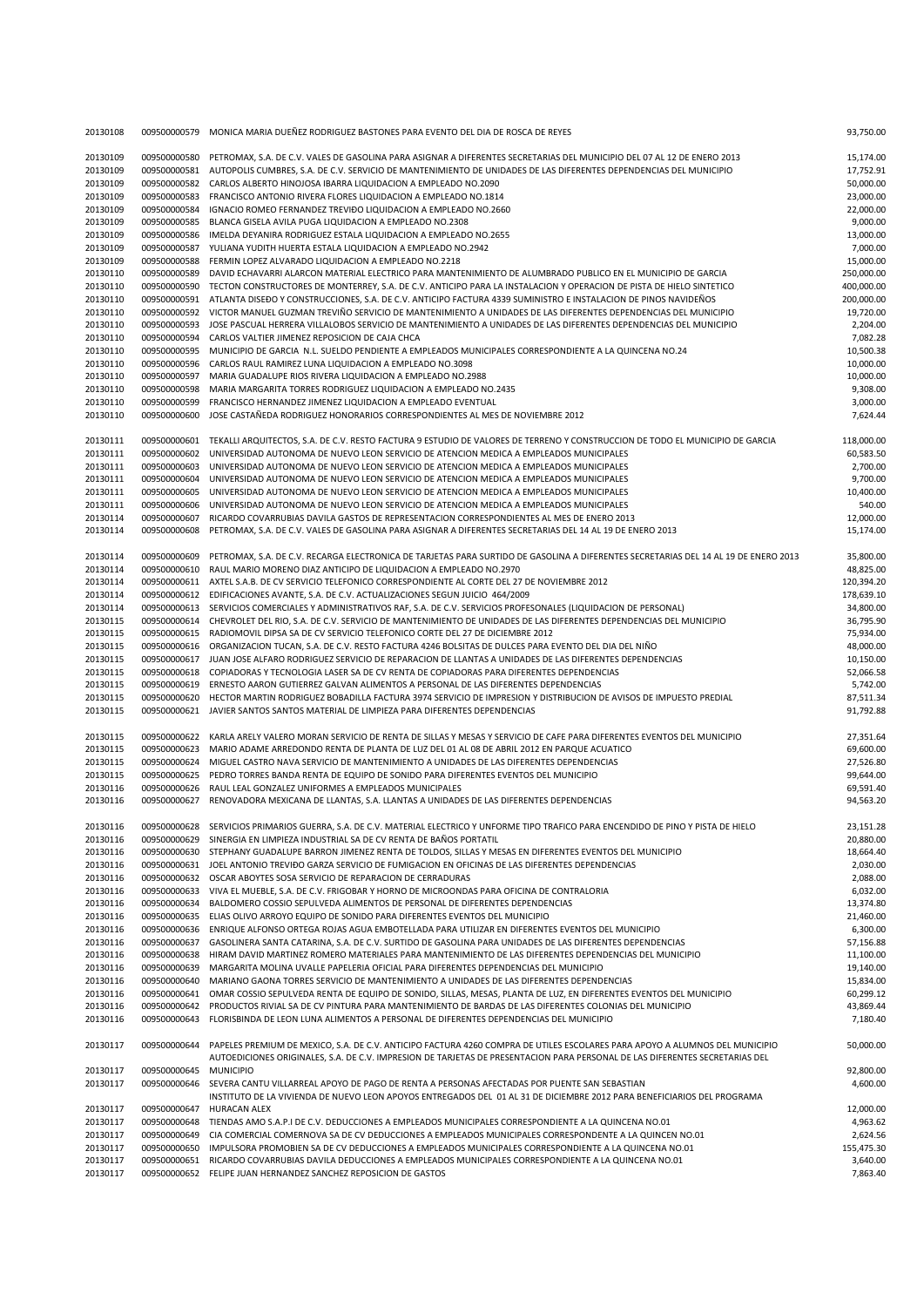| 20130108 | 009500000579 | MONICA MARIA DUEÑEZ RODRIGUEZ BASTONES PARA EVENTO DEL DIA DE ROSCA DE REYES                                                                                                                                                                                | 93,750.00  |
|----------|--------------|-------------------------------------------------------------------------------------------------------------------------------------------------------------------------------------------------------------------------------------------------------------|------------|
| 20130109 | 009500000580 | PETROMAX, S.A. DE C.V. VALES DE GASOLINA PARA ASIGNAR A DIFERENTES SECRETARIAS DEL MUNICIPIO DEL 07 AL 12 DE ENERO 2013                                                                                                                                     | 15,174.00  |
| 20130109 | 009500000581 | AUTOPOLIS CUMBRES, S.A. DE C.V. SERVICIO DE MANTENIMIENTO DE UNIDADES DE LAS DIFERENTES DEPENDENCIAS DEL MUNICIPIO                                                                                                                                          | 17,752.91  |
| 20130109 | 009500000582 | CARLOS ALBERTO HINOJOSA IBARRA LIQUIDACION A EMPLEADO NO.2090                                                                                                                                                                                               | 50,000.00  |
| 20130109 | 009500000583 | FRANCISCO ANTONIO RIVERA FLORES LIQUIDACION A EMPLEADO NO.1814                                                                                                                                                                                              | 23,000.00  |
| 20130109 | 009500000584 | IGNACIO ROMEO FERNANDEZ TREVIĐO LIQUIDACION A EMPLEADO NO.2660                                                                                                                                                                                              | 22,000.00  |
| 20130109 | 009500000585 | BLANCA GISELA AVILA PUGA LIQUIDACION A EMPLEADO NO.2308                                                                                                                                                                                                     | 9,000.00   |
| 20130109 | 009500000586 | IMELDA DEYANIRA RODRIGUEZ ESTALA LIQUIDACION A EMPLEADO NO.2655                                                                                                                                                                                             | 13,000.00  |
| 20130109 | 009500000587 | YULIANA YUDITH HUERTA ESTALA LIQUIDACION A EMPLEADO NO.2942                                                                                                                                                                                                 | 7,000.00   |
| 20130109 | 009500000588 | FERMIN LOPEZ ALVARADO LIQUIDACION A EMPLEADO NO.2218                                                                                                                                                                                                        | 15,000.00  |
| 20130110 | 009500000589 | DAVID ECHAVARRI ALARCON MATERIAL ELECTRICO PARA MANTENIMIENTO DE ALUMBRADO PUBLICO EN EL MUNICIPIO DE GARCIA                                                                                                                                                | 250,000.00 |
| 20130110 | 009500000590 | TECTON CONSTRUCTORES DE MONTERREY, S.A. DE C.V. ANTICIPO PARA LA INSTALACION Y OPERACION DE PISTA DE HIELO SINTETICO                                                                                                                                        | 400,000.00 |
| 20130110 | 009500000591 | ATLANTA DISEDO Y CONSTRUCCIONES, S.A. DE C.V. ANTICIPO FACTURA 4339 SUMINISTRO E INSTALACION DE PINOS NAVIDEÑOS                                                                                                                                             | 200,000.00 |
| 20130110 | 009500000592 | VICTOR MANUEL GUZMAN TREVIÑO SERVICIO DE MANTENIMIENTO A UNIDADES DE LAS DIFERENTES DEPENDENCIAS DEL MUNICIPIO                                                                                                                                              | 19,720.00  |
| 20130110 | 009500000593 | JOSE PASCUAL HERRERA VILLALOBOS SERVICIO DE MANTENIMIENTO A UNIDADES DE LAS DIFERENTES DEPENDENCIAS DEL MUNICIPIO                                                                                                                                           | 2,204.00   |
| 20130110 | 009500000594 | CARLOS VALTIER JIMENEZ REPOSICION DE CAJA CHCA                                                                                                                                                                                                              | 7,082.28   |
| 20130110 | 009500000595 | MUNICIPIO DE GARCIA N.L. SUELDO PENDIENTE A EMPLEADOS MUNICIPALES CORRESPONDIENTE A LA QUINCENA NO.24                                                                                                                                                       | 10,500.38  |
| 20130110 | 009500000596 | CARLOS RAUL RAMIREZ LUNA LIQUIDACION A EMPLEADO NO.3098                                                                                                                                                                                                     | 10,000.00  |
| 20130110 | 009500000597 | MARIA GUADALUPE RIOS RIVERA LIQUIDACION A EMPLEADO NO.2988                                                                                                                                                                                                  | 10,000.00  |
| 20130110 | 009500000598 | MARIA MARGARITA TORRES RODRIGUEZ LIQUIDACION A EMPLEADO NO.2435                                                                                                                                                                                             | 9,308.00   |
| 20130110 | 009500000599 | FRANCISCO HERNANDEZ JIMENEZ LIQUIDACION A EMPLEADO EVENTUAL                                                                                                                                                                                                 | 3,000.00   |
| 20130110 | 009500000600 | JOSE CASTAÑEDA RODRIGUEZ HONORARIOS CORRESPONDIENTES AL MES DE NOVIEMBRE 2012                                                                                                                                                                               | 7,624.44   |
| 20130111 | 009500000601 | TEKALLI ARQUITECTOS, S.A. DE C.V. RESTO FACTURA 9 ESTUDIO DE VALORES DE TERRENO Y CONSTRUCCION DE TODO EL MUNICIPIO DE GARCIA                                                                                                                               | 118,000.00 |
| 20130111 | 009500000602 | UNIVERSIDAD AUTONOMA DE NUEVO LEON SERVICIO DE ATENCION MEDICA A EMPLEADOS MUNICIPALES                                                                                                                                                                      | 60,583.50  |
| 20130111 | 009500000603 | UNIVERSIDAD AUTONOMA DE NUEVO LEON SERVICIO DE ATENCION MEDICA A EMPLEADOS MUNICIPALES                                                                                                                                                                      | 2,700.00   |
| 20130111 | 009500000604 | UNIVERSIDAD AUTONOMA DE NUEVO LEON SERVICIO DE ATENCION MEDICA A EMPLEADOS MUNICIPALES                                                                                                                                                                      | 9,700.00   |
| 20130111 | 009500000605 | UNIVERSIDAD AUTONOMA DE NUEVO LEON SERVICIO DE ATENCION MEDICA A EMPLEADOS MUNICIPALES                                                                                                                                                                      | 10,400.00  |
| 20130111 | 009500000606 | UNIVERSIDAD AUTONOMA DE NUEVO LEON SERVICIO DE ATENCION MEDICA A EMPLEADOS MUNICIPALES                                                                                                                                                                      | 540.00     |
| 20130114 | 009500000607 | RICARDO COVARRUBIAS DAVILA GASTOS DE REPRESENTACION CORRESPONDIENTES AL MES DE ENERO 2013                                                                                                                                                                   | 12,000.00  |
| 20130114 | 009500000608 | PETROMAX, S.A. DE C.V. VALES DE GASOLINA PARA ASIGNAR A DIFERENTES SECRETARIAS DEL 14 AL 19 DE ENERO 2013                                                                                                                                                   | 15,174.00  |
| 20130114 | 009500000609 | PETROMAX, S.A. DE C.V. RECARGA ELECTRONICA DE TARJETAS PARA SURTIDO DE GASOLINA A DIFERENTES SECRETARIAS DEL 14 AL 19 DE ENERO 2013                                                                                                                         | 35,800.00  |
| 20130114 | 009500000610 | RAUL MARIO MORENO DIAZ ANTICIPO DE LIQUIDACION A EMPLEADO NO.2970                                                                                                                                                                                           | 48,825.00  |
| 20130114 | 009500000611 | AXTEL S.A.B. DE CV SERVICIO TELEFONICO CORRESPONDIENTE AL CORTE DEL 27 DE NOVIEMBRE 2012                                                                                                                                                                    | 120,394.20 |
| 20130114 | 009500000612 | EDIFICACIONES AVANTE, S.A. DE C.V. ACTUALIZACIONES SEGUN JUICIO 464/2009                                                                                                                                                                                    | 178,639.10 |
| 20130114 | 009500000613 | SERVICIOS COMERCIALES Y ADMINISTRATIVOS RAF, S.A. DE C.V. SERVICIOS PROFESONALES (LIQUIDACION DE PERSONAL)                                                                                                                                                  | 34,800.00  |
| 20130115 | 009500000614 | CHEVROLET DEL RIO, S.A. DE C.V. SERVICIO DE MANTENIMIENTO DE UNIDADES DE LAS DIFERENTES DEPENDENCIAS DEL MUNICIPIO                                                                                                                                          | 36,795.90  |
| 20130115 | 009500000615 | RADIOMOVIL DIPSA SA DE CV SERVICIO TELEFONICO CORTE DEL 27 DE DICIEMBRE 2012                                                                                                                                                                                | 75,934.00  |
| 20130115 | 009500000616 | ORGANIZACION TUCAN, S.A. DE C.V. RESTO FACTURA 4246 BOLSITAS DE DULCES PARA EVENTO DEL DIA DEL NIÑO                                                                                                                                                         | 48,000.00  |
| 20130115 | 009500000617 | JUAN JOSE ALFARO RODRIGUEZ SERVICIO DE REPARACION DE LLANTAS A UNIDADES DE LAS DIFERENTES DEPENDENCIAS                                                                                                                                                      | 10,150.00  |
| 20130115 | 009500000618 | COPIADORAS Y TECNOLOGIA LASER SA DE CV RENTA DE COPIADORAS PARA DIFERENTES DEPENDENCIAS                                                                                                                                                                     | 52,066.58  |
| 20130115 | 009500000619 | ERNESTO AARON GUTIERREZ GALVAN ALIMENTOS A PERSONAL DE LAS DIFERENTES DEPENDENCIAS                                                                                                                                                                          | 5,742.00   |
| 20130115 | 009500000620 | HECTOR MARTIN RODRIGUEZ BOBADILLA FACTURA 3974 SERVICIO DE IMPRESION Y DISTRIBUCION DE AVISOS DE IMPUESTO PREDIAL                                                                                                                                           | 87,511.34  |
| 20130115 | 009500000621 | JAVIER SANTOS SANTOS MATERIAL DE LIMPIEZA PARA DIFERENTES DEPENDENCIAS                                                                                                                                                                                      | 91,792.88  |
| 20130115 | 009500000622 | KARLA ARELY VALERO MORAN SERVICIO DE RENTA DE SILLAS Y MESAS Y SERVICIO DE CAFE PARA DIFERENTES EVENTOS DEL MUNICIPIO                                                                                                                                       | 27,351.64  |
| 20130115 | 009500000623 | MARIO ADAME ARREDONDO RENTA DE PLANTA DE LUZ DEL 01 AL 08 DE ABRIL 2012 EN PARQUE ACUATICO                                                                                                                                                                  | 69,600.00  |
| 20130115 | 009500000624 | MIGUEL CASTRO NAVA SERVICIO DE MANTENIMIENTO A UNIDADES DE LAS DIFERENTES DEPENDENCIAS                                                                                                                                                                      | 27,526.80  |
| 20130115 | 009500000625 | PEDRO TORRES BANDA RENTA DE EQUIPO DE SONIDO PARA DIFERENTES EVENTOS DEL MUNICIPIO                                                                                                                                                                          | 99,644.00  |
| 20130116 | 009500000626 | RAUL LEAL GONZALEZ UNIFORMES A EMPLEADOS MUNICIPALES                                                                                                                                                                                                        | 69,591.40  |
| 20130116 | 009500000627 | RENOVADORA MEXICANA DE LLANTAS, S.A. LLANTAS A UNIDADES DE LAS DIFERENTES DEPENDENCIAS                                                                                                                                                                      | 94,563.20  |
| 20130116 |              | 009500000628 SERVICIOS PRIMARIOS GUERRA, S.A. DE C.V. MATERIAL ELECTRICO Y UNFORME TIPO TRAFICO PARA ENCENDIDO DE PINO Y PISTA DE HIELO                                                                                                                     | 23,151.28  |
| 20130116 | 009500000629 | SINERGIA EN LIMPIEZA INDUSTRIAL SA DE CV RENTA DE BAÑOS PORTATIL                                                                                                                                                                                            | 20,880.00  |
| 20130116 | 009500000630 | STEPHANY GUADALUPE BARRON JIMENEZ RENTA DE TOLDOS, SILLAS Y MESAS EN DIFERENTES EVENTOS DEL MUNICIPIO                                                                                                                                                       | 18,664.40  |
| 20130116 | 009500000631 | JOEL ANTONIO TREVIĐO GARZA SERVICIO DE FUMIGACION EN OFICINAS DE LAS DIFERENTES DEPENDENCIAS                                                                                                                                                                | 2,030.00   |
| 20130116 | 009500000632 | OSCAR ABOYTES SOSA SERVICIO DE REPARACION DE CERRADURAS                                                                                                                                                                                                     | 2,088.00   |
| 20130116 | 009500000633 | VIVA EL MUEBLE, S.A. DE C.V. FRIGOBAR Y HORNO DE MICROONDAS PARA OFICINA DE CONTRALORIA                                                                                                                                                                     | 6,032.00   |
| 20130116 | 009500000634 | BALDOMERO COSSIO SEPULVEDA ALIMENTOS DE PERSONAL DE DIFERENTES DEPENDENCIAS                                                                                                                                                                                 | 13,374.80  |
| 20130116 | 009500000635 | ELIAS OLIVO ARROYO EQUIPO DE SONIDO PARA DIFERENTES EVENTOS DEL MUNICIPIO                                                                                                                                                                                   | 21,460.00  |
| 20130116 | 009500000636 | ENRIQUE ALFONSO ORTEGA ROJAS AGUA EMBOTELLADA PARA UTILIZAR EN DIFERENTES EVENTOS DEL MUNICIPIO                                                                                                                                                             | 6,300.00   |
| 20130116 | 009500000637 | GASOLINERA SANTA CATARINA, S.A. DE C.V. SURTIDO DE GASOLINA PARA UNIDADES DE LAS DIFERENTES DEPENDENCIAS                                                                                                                                                    | 57,156.88  |
| 20130116 | 009500000638 | HIRAM DAVID MARTINEZ ROMERO MATERIALES PARA MANTENIMIENTO DE LAS DIFERENTES DEPENDENCIAS DEL MUNICIPIO                                                                                                                                                      | 11,100.00  |
| 20130116 | 009500000639 | MARGARITA MOLINA UVALLE PAPELERIA OFICIAL PARA DIFERENTES DEPENDENCIAS DEL MUNICIPIO                                                                                                                                                                        | 19,140.00  |
| 20130116 | 009500000640 | MARIANO GAONA TORRES SERVICIO DE MANTENIMIENTO A UNIDADES DE LAS DIFERENTES DEPENDENCIAS                                                                                                                                                                    | 15,834.00  |
| 20130116 | 009500000641 | OMAR COSSIO SEPULVEDA RENTA DE EQUIPO DE SONIDO, SILLAS, MESAS, PLANTA DE LUZ, EN DIFERENTES EVENTOS DEL MUNICIPIO                                                                                                                                          | 60,299.12  |
| 20130116 | 009500000642 | PRODUCTOS RIVIAL SA DE CV PINTURA PARA MANTENIMIENTO DE BARDAS DE LAS DIFERENTES COLONIAS DEL MUNICIPIO                                                                                                                                                     | 43,869.44  |
| 20130116 | 009500000643 | FLORISBINDA DE LEON LUNA ALIMENTOS A PERSONAL DE DIFERENTES DEPENDENCIAS DEL MUNICIPIO                                                                                                                                                                      | 7,180.40   |
| 20130117 | 009500000644 | PAPELES PREMIUM DE MEXICO, S.A. DE C.V. ANTICIPO FACTURA 4260 COMPRA DE UTILES ESCOLARES PARA APOYO A ALUMNOS DEL MUNICIPIO<br>AUTOEDICIONES ORIGINALES, S.A. DE C.V. IMPRESION DE TARJETAS DE PRESENTACION PARA PERSONAL DE LAS DIFERENTES SECRETARIAS DEL | 50,000.00  |
| 20130117 | 009500000645 | <b>MUNICIPIO</b>                                                                                                                                                                                                                                            | 92,800.00  |
| 20130117 | 009500000646 | SEVERA CANTU VILLARREAL APOYO DE PAGO DE RENTA A PERSONAS AFECTADAS POR PUENTE SAN SEBASTIAN                                                                                                                                                                | 4,600.00   |
|          |              | INSTITUTO DE LA VIVIENDA DE NUEVO LEON APOYOS ENTREGADOS DEL 01 AL 31 DE DICIEMBRE 2012 PARA BENEFICIARIOS DEL PROGRAMA                                                                                                                                     |            |
| 20130117 | 009500000647 | HURACAN ALEX                                                                                                                                                                                                                                                | 12,000.00  |
| 20130117 | 009500000648 | TIENDAS AMO S.A.P.I DE C.V. DEDUCCIONES A EMPLEADOS MUNICIPALES CORRESPONDIENTE A LA QUINCENA NO.01                                                                                                                                                         | 4,963.62   |
| 20130117 | 009500000649 | CIA COMERCIAL COMERNOVA SA DE CV DEDUCCIONES A EMPLEADOS MUNICIPALES CORRESPONDENTE A LA QUINCEN NO.01                                                                                                                                                      | 2,624.56   |
| 20130117 | 009500000650 | IMPULSORA PROMOBIEN SA DE CV DEDUCCIONES A EMPLEADOS MUNICIPALES CORRESPONDIENTE A LA QUINCENA NO.01                                                                                                                                                        | 155,475.30 |
| 20130117 | 009500000651 | RICARDO COVARRUBIAS DAVILA DEDUCCIONES A EMPLEADOS MUNICIPALES CORRESPONDIENTE A LA QUINCENA NO.01                                                                                                                                                          | 3,640.00   |
| 20130117 |              | 009500000652 FELIPE JUAN HERNANDEZ SANCHEZ REPOSICION DE GASTOS                                                                                                                                                                                             | 7,863.40   |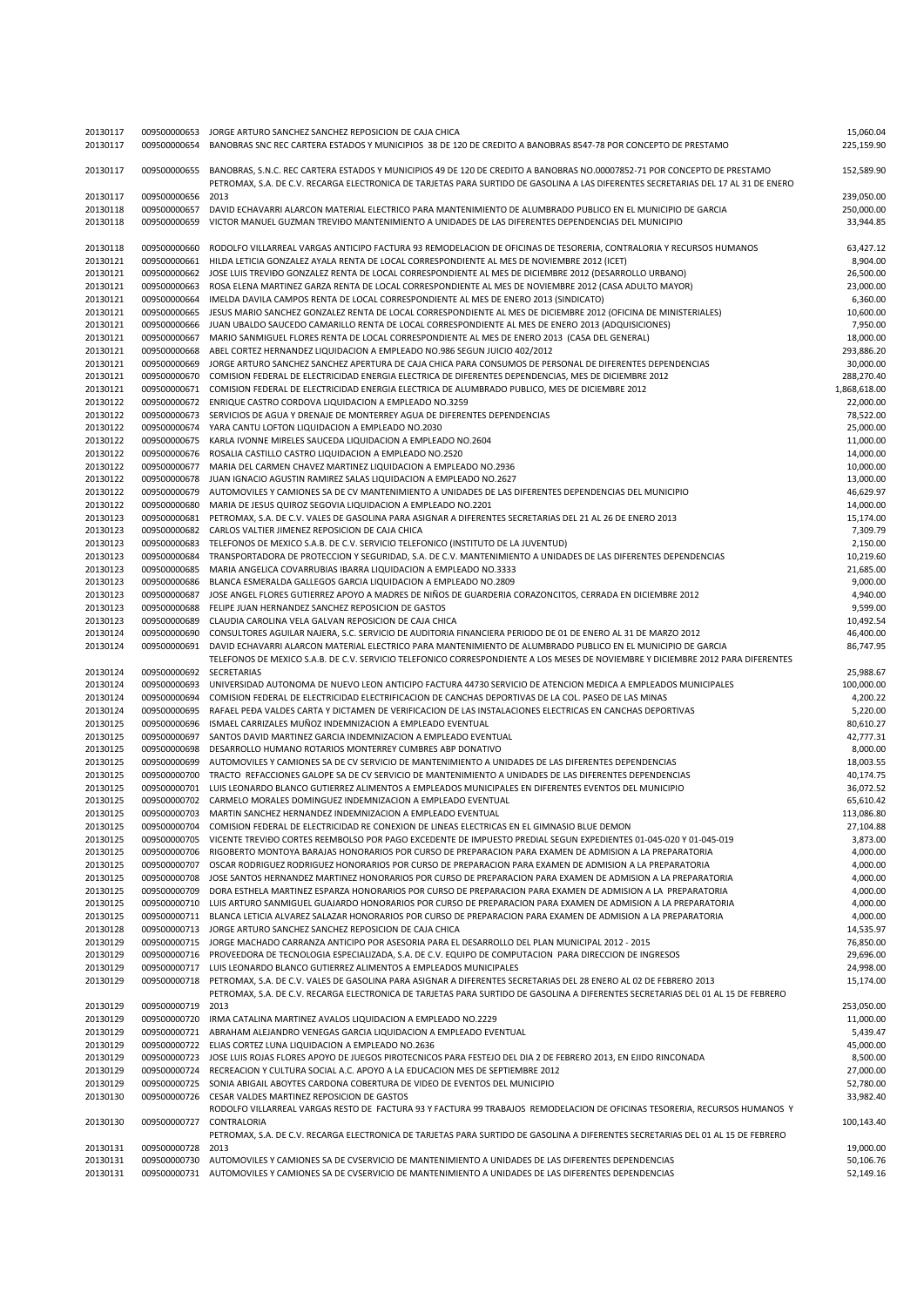| 20130117 | 009500000653 | JORGE ARTURO SANCHEZ SANCHEZ REPOSICION DE CAJA CHICA                                                                              | 15,060.04    |
|----------|--------------|------------------------------------------------------------------------------------------------------------------------------------|--------------|
| 20130117 | 009500000654 | BANOBRAS SNC REC CARTERA ESTADOS Y MUNICIPIOS 38 DE 120 DE CREDITO A BANOBRAS 8547-78 POR CONCEPTO DE PRESTAMO                     | 225,159.90   |
|          |              |                                                                                                                                    |              |
| 20130117 | 009500000655 | BANOBRAS, S.N.C. REC CARTERA ESTADOS Y MUNICIPIOS 49 DE 120 DE CREDITO A BANOBRAS NO.00007852-71 POR CONCEPTO DE PRESTAMO          | 152,589.90   |
|          |              | PETROMAX, S.A. DE C.V. RECARGA ELECTRONICA DE TARJETAS PARA SURTIDO DE GASOLINA A LAS DIFERENTES SECRETARIAS DEL 17 AL 31 DE ENERO |              |
| 20130117 | 009500000656 | 2013                                                                                                                               | 239,050.00   |
| 20130118 | 009500000657 | DAVID ECHAVARRI ALARCON MATERIAL ELECTRICO PARA MANTENIMIENTO DE ALUMBRADO PUBLICO EN EL MUNICIPIO DE GARCIA                       | 250,000.00   |
| 20130118 | 009500000659 | VICTOR MANUEL GUZMAN TREVIĐO MANTENIMIENTO A UNIDADES DE LAS DIFERENTES DEPENDENCIAS DEL MUNICIPIO                                 | 33,944.85    |
|          |              |                                                                                                                                    |              |
|          |              |                                                                                                                                    |              |
| 20130118 | 009500000660 | RODOLFO VILLARREAL VARGAS ANTICIPO FACTURA 93 REMODELACION DE OFICINAS DE TESORERIA, CONTRALORIA Y RECURSOS HUMANOS                | 63,427.12    |
| 20130121 | 009500000661 | HILDA LETICIA GONZALEZ AYALA RENTA DE LOCAL CORRESPONDIENTE AL MES DE NOVIEMBRE 2012 (ICET)                                        | 8,904.00     |
| 20130121 | 009500000662 | JOSE LUIS TREVIĐO GONZALEZ RENTA DE LOCAL CORRESPONDIENTE AL MES DE DICIEMBRE 2012 (DESARROLLO URBANO)                             | 26,500.00    |
| 20130121 | 009500000663 | ROSA ELENA MARTINEZ GARZA RENTA DE LOCAL CORRESPONDIENTE AL MES DE NOVIEMBRE 2012 (CASA ADULTO MAYOR)                              | 23,000.00    |
| 20130121 | 009500000664 | IMELDA DAVILA CAMPOS RENTA DE LOCAL CORRESPONDIENTE AL MES DE ENERO 2013 (SINDICATO)                                               | 6,360.00     |
|          |              |                                                                                                                                    |              |
| 20130121 | 009500000665 | JESUS MARIO SANCHEZ GONZALEZ RENTA DE LOCAL CORRESPONDIENTE AL MES DE DICIEMBRE 2012 (OFICINA DE MINISTERIALES)                    | 10,600.00    |
| 20130121 | 009500000666 | JUAN UBALDO SAUCEDO CAMARILLO RENTA DE LOCAL CORRESPONDIENTE AL MES DE ENERO 2013 (ADQUISICIONES)                                  | 7,950.00     |
| 20130121 | 009500000667 | MARIO SANMIGUEL FLORES RENTA DE LOCAL CORRESPONDIENTE AL MES DE ENERO 2013 (CASA DEL GENERAL)                                      | 18,000.00    |
| 20130121 | 009500000668 | ABEL CORTEZ HERNANDEZ LIQUIDACION A EMPLEADO NO.986 SEGUN JUICIO 402/2012                                                          | 293,886.20   |
| 20130121 | 009500000669 | JORGE ARTURO SANCHEZ SANCHEZ APERTURA DE CAJA CHICA PARA CONSUMOS DE PERSONAL DE DIFERENTES DEPENDENCIAS                           | 30,000.00    |
| 20130121 | 009500000670 | COMISION FEDERAL DE ELECTRICIDAD ENERGIA ELECTRICA DE DIFERENTES DEPENDENCIAS, MES DE DICIEMBRE 2012                               | 288,270.40   |
|          |              |                                                                                                                                    |              |
| 20130121 | 009500000671 | COMISION FEDERAL DE ELECTRICIDAD ENERGIA ELECTRICA DE ALUMBRADO PUBLICO, MES DE DICIEMBRE 2012                                     | 1,868,618.00 |
| 20130122 | 009500000672 | ENRIQUE CASTRO CORDOVA LIQUIDACION A EMPLEADO NO.3259                                                                              | 22,000.00    |
| 20130122 | 009500000673 | SERVICIOS DE AGUA Y DRENAJE DE MONTERREY AGUA DE DIFERENTES DEPENDENCIAS                                                           | 78,522.00    |
| 20130122 | 009500000674 | YARA CANTU LOFTON LIQUIDACION A EMPLEADO NO.2030                                                                                   | 25,000.00    |
| 20130122 | 009500000675 | KARLA IVONNE MIRELES SAUCEDA LIQUIDACION A EMPLEADO NO.2604                                                                        | 11,000.00    |
| 20130122 | 009500000676 | ROSALIA CASTILLO CASTRO LIQUIDACION A EMPLEADO NO.2520                                                                             | 14,000.00    |
|          |              |                                                                                                                                    |              |
| 20130122 | 009500000677 | MARIA DEL CARMEN CHAVEZ MARTINEZ LIQUIDACION A EMPLEADO NO.2936                                                                    | 10,000.00    |
| 20130122 | 009500000678 | JUAN IGNACIO AGUSTIN RAMIREZ SALAS LIQUIDACION A EMPLEADO NO.2627                                                                  | 13,000.00    |
| 20130122 | 009500000679 | AUTOMOVILES Y CAMIONES SA DE CV MANTENIMIENTO A UNIDADES DE LAS DIFERENTES DEPENDENCIAS DEL MUNICIPIO                              | 46,629.97    |
| 20130122 | 009500000680 | MARIA DE JESUS QUIROZ SEGOVIA LIQUIDACION A EMPLEADO NO.2201                                                                       | 14,000.00    |
| 20130123 | 009500000681 | PETROMAX, S.A. DE C.V. VALES DE GASOLINA PARA ASIGNAR A DIFERENTES SECRETARIAS DEL 21 AL 26 DE ENERO 2013                          | 15,174.00    |
| 20130123 |              |                                                                                                                                    |              |
|          | 009500000682 | CARLOS VALTIER JIMENEZ REPOSICION DE CAJA CHICA                                                                                    | 7,309.79     |
| 20130123 | 009500000683 | TELEFONOS DE MEXICO S.A.B. DE C.V. SERVICIO TELEFONICO (INSTITUTO DE LA JUVENTUD)                                                  | 2,150.00     |
| 20130123 | 009500000684 | TRANSPORTADORA DE PROTECCION Y SEGURIDAD, S.A. DE C.V. MANTENIMIENTO A UNIDADES DE LAS DIFERENTES DEPENDENCIAS                     | 10,219.60    |
| 20130123 | 009500000685 | MARIA ANGELICA COVARRUBIAS IBARRA LIQUIDACION A EMPLEADO NO.3333                                                                   | 21,685.00    |
| 20130123 | 009500000686 | BLANCA ESMERALDA GALLEGOS GARCIA LIQUIDACION A EMPLEADO NO.2809                                                                    | 9,000.00     |
| 20130123 | 009500000687 | JOSE ANGEL FLORES GUTIERREZ APOYO A MADRES DE NIÑOS DE GUARDERIA CORAZONCITOS, CERRADA EN DICIEMBRE 2012                           | 4,940.00     |
|          |              |                                                                                                                                    |              |
| 20130123 | 009500000688 | FELIPE JUAN HERNANDEZ SANCHEZ REPOSICION DE GASTOS                                                                                 | 9,599.00     |
| 20130123 | 009500000689 | CLAUDIA CAROLINA VELA GALVAN REPOSICION DE CAJA CHICA                                                                              | 10,492.54    |
| 20130124 | 009500000690 | CONSULTORES AGUILAR NAJERA, S.C. SERVICIO DE AUDITORIA FINANCIERA PERIODO DE 01 DE ENERO AL 31 DE MARZO 2012                       | 46,400.00    |
| 20130124 | 009500000691 | DAVID ECHAVARRI ALARCON MATERIAL ELECTRICO PARA MANTENIMIENTO DE ALUMBRADO PUBLICO EN EL MUNICIPIO DE GARCIA                       | 86,747.95    |
|          |              | TELEFONOS DE MEXICO S.A.B. DE C.V. SERVICIO TELEFONICO CORRESPONDIENTE A LOS MESES DE NOVIEMBRE Y DICIEMBRE 2012 PARA DIFERENTES   |              |
| 20130124 | 009500000692 | SECRETARIAS                                                                                                                        | 25,988.67    |
|          |              |                                                                                                                                    |              |
| 20130124 | 009500000693 | UNIVERSIDAD AUTONOMA DE NUEVO LEON ANTICIPO FACTURA 44730 SERVICIO DE ATENCION MEDICA A EMPLEADOS MUNICIPALES                      | 100,000.00   |
| 20130124 | 009500000694 | COMISION FEDERAL DE ELECTRICIDAD ELECTRIFICACION DE CANCHAS DEPORTIVAS DE LA COL. PASEO DE LAS MINAS                               | 4,200.22     |
| 20130124 | 009500000695 | RAFAEL PEĐA VALDES CARTA Y DICTAMEN DE VERIFICACION DE LAS INSTALACIONES ELECTRICAS EN CANCHAS DEPORTIVAS                          | 5,220.00     |
| 20130125 | 009500000696 | ISMAEL CARRIZALES MUÑOZ INDEMNIZACION A EMPLEADO EVENTUAL                                                                          | 80,610.27    |
| 20130125 | 009500000697 | SANTOS DAVID MARTINEZ GARCIA INDEMNIZACION A EMPLEADO EVENTUAL                                                                     | 42,777.31    |
| 20130125 | 009500000698 | DESARROLLO HUMANO ROTARIOS MONTERREY CUMBRES ABP DONATIVO                                                                          | 8,000.00     |
|          |              |                                                                                                                                    |              |
| 20130125 | 009500000699 | AUTOMOVILES Y CAMIONES SA DE CV SERVICIO DE MANTENIMIENTO A UNIDADES DE LAS DIFERENTES DEPENDENCIAS                                | 18,003.55    |
| 20130125 | 009500000700 | TRACTO REFACCIONES GALOPE SA DE CV SERVICIO DE MANTENIMIENTO A UNIDADES DE LAS DIFERENTES DEPENDENCIAS                             | 40,174.75    |
| 20130125 | 009500000701 | LUIS LEONARDO BLANCO GUTIERREZ ALIMENTOS A EMPLEADOS MUNICIPALES EN DIFERENTES EVENTOS DEL MUNICIPIO                               | 36,072.52    |
| 20130125 | 009500000702 | CARMELO MORALES DOMINGUEZ INDEMNIZACION A EMPLEADO EVENTUAL                                                                        | 65,610.42    |
| 20130125 | 009500000703 | MARTIN SANCHEZ HERNANDEZ INDEMNIZACION A EMPLEADO EVENTUAL                                                                         | 113,086.80   |
|          |              |                                                                                                                                    | 27,104.88    |
| 20130125 | 009500000704 | COMISION FEDERAL DE ELECTRICIDAD RE CONEXION DE LINEAS ELECTRICAS EN EL GIMNASIO BLUE DEMON                                        |              |
| 20130125 | 009500000705 | VICENTE TREVIĐO CORTES REEMBOLSO POR PAGO EXCEDENTE DE IMPUESTO PREDIAL SEGUN EXPEDIENTES 01-045-020 Y 01-045-019                  | 3,873.00     |
| 20130125 | 009500000706 | RIGOBERTO MONTOYA BARAJAS HONORARIOS POR CURSO DE PREPARACION PARA EXAMEN DE ADMISION A LA PREPARATORIA                            | 4,000.00     |
| 20130125 | 009500000707 | OSCAR RODRIGUEZ RODRIGUEZ HONORARIOS POR CURSO DE PREPARACION PARA EXAMEN DE ADMISION A LA PREPARATORIA                            | 4,000.00     |
| 20130125 | 009500000708 | JOSE SANTOS HERNANDEZ MARTINEZ HONORARIOS POR CURSO DE PREPARACION PARA EXAMEN DE ADMISION A LA PREPARATORIA                       | 4,000.00     |
| 20130125 | 009500000709 | DORA ESTHELA MARTINEZ ESPARZA HONORARIOS POR CURSO DE PREPARACION PARA EXAMEN DE ADMISION A LA PREPARATORIA                        | 4,000.00     |
| 20130125 | 009500000710 | LUIS ARTURO SANMIGUEL GUAJARDO HONORARIOS POR CURSO DE PREPARACION PARA EXAMEN DE ADMISION A LA PREPARATORIA                       | 4,000.00     |
|          |              |                                                                                                                                    | 4,000.00     |
| 20130125 |              | 009500000711 BLANCA LETICIA ALVAREZ SALAZAR HONORARIOS POR CURSO DE PREPARACION PARA EXAMEN DE ADMISION A LA PREPARATORIA          |              |
| 20130128 |              | 009500000713 JORGE ARTURO SANCHEZ SANCHEZ REPOSICION DE CAJA CHICA                                                                 | 14,535.97    |
| 20130129 | 009500000715 | JORGE MACHADO CARRANZA ANTICIPO POR ASESORIA PARA EL DESARROLLO DEL PLAN MUNICIPAL 2012 - 2015                                     | 76,850.00    |
| 20130129 | 009500000716 | PROVEEDORA DE TECNOLOGIA ESPECIALIZADA, S.A. DE C.V. EQUIPO DE COMPUTACION PARA DIRECCION DE INGRESOS                              | 29,696.00    |
| 20130129 | 009500000717 | LUIS LEONARDO BLANCO GUTIERREZ ALIMENTOS A EMPLEADOS MUNICIPALES                                                                   | 24,998.00    |
| 20130129 | 009500000718 | PETROMAX, S.A. DE C.V. VALES DE GASOLINA PARA ASIGNAR A DIFERENTES SECRETARIAS DEL 28 ENERO AL 02 DE FEBRERO 2013                  | 15,174.00    |
|          |              | PETROMAX, S.A. DE C.V. RECARGA ELECTRONICA DE TARJETAS PARA SURTIDO DE GASOLINA A DIFERENTES SECRETARIAS DEL 01 AL 15 DE FEBRERO   |              |
|          |              |                                                                                                                                    |              |
| 20130129 | 009500000719 | 2013                                                                                                                               | 253,050.00   |
| 20130129 | 009500000720 | IRMA CATALINA MARTINEZ AVALOS LIQUIDACION A EMPLEADO NO.2229                                                                       | 11,000.00    |
| 20130129 | 009500000721 | ABRAHAM ALEJANDRO VENEGAS GARCIA LIQUIDACION A EMPLEADO EVENTUAL                                                                   | 5,439.47     |
| 20130129 | 009500000722 | ELIAS CORTEZ LUNA LIQUIDACION A EMPLEADO NO.2636                                                                                   | 45,000.00    |
| 20130129 | 009500000723 | JOSE LUIS ROJAS FLORES APOYO DE JUEGOS PIROTECNICOS PARA FESTEJO DEL DIA 2 DE FEBRERO 2013, EN EJIDO RINCONADA                     | 8,500.00     |
|          |              |                                                                                                                                    |              |
| 20130129 |              | 009500000724 RECREACION Y CULTURA SOCIAL A.C. APOYO A LA EDUCACION MES DE SEPTIEMBRE 2012                                          | 27,000.00    |
| 20130129 | 009500000725 | SONIA ABIGAIL ABOYTES CARDONA COBERTURA DE VIDEO DE EVENTOS DEL MUNICIPIO                                                          | 52,780.00    |
| 20130130 | 009500000726 | CESAR VALDES MARTINEZ REPOSICION DE GASTOS                                                                                         | 33,982.40    |
|          |              | RODOLFO VILLARREAL VARGAS RESTO DE FACTURA 93 Y FACTURA 99 TRABAJOS REMODELACION DE OFICINAS TESORERIA, RECURSOS HUMANOS Y         |              |
| 20130130 | 009500000727 | CONTRALORIA                                                                                                                        | 100,143.40   |
|          |              | PETROMAX, S.A. DE C.V. RECARGA ELECTRONICA DE TARJETAS PARA SURTIDO DE GASOLINA A DIFERENTES SECRETARIAS DEL 01 AL 15 DE FEBRERO   |              |
|          |              |                                                                                                                                    |              |
| 20130131 | 009500000728 | 2013                                                                                                                               | 19,000.00    |
| 20130131 | 009500000730 | AUTOMOVILES Y CAMIONES SA DE CVSERVICIO DE MANTENIMIENTO A UNIDADES DE LAS DIFERENTES DEPENDENCIAS                                 | 50,106.76    |
| 20130131 |              | 009500000731 AUTOMOVILES Y CAMIONES SA DE CVSERVICIO DE MANTENIMIENTO A UNIDADES DE LAS DIFERENTES DEPENDENCIAS                    | 52,149.16    |